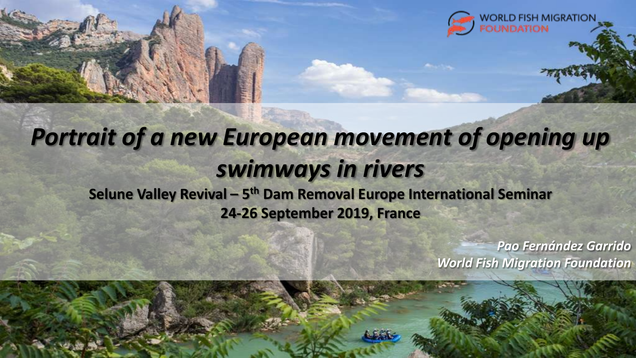

**Selune Valley Revival – 5 th Dam Removal Europe International Seminar 24-26 September 2019, France** 

> *Pao Fernández Garrido World Fish Migration Foundation*

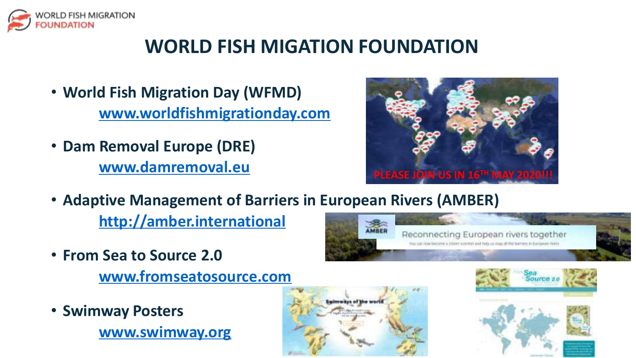

#### **WORLD FISH MIGATION FOUNDATION**

- **World Fish Migration Day (WFMD) [www.worldfishmigrationday.com](http://www.worldfishmigrationday.com/)**
- **Dam Removal Europe (DRE) [www.damremoval.eu](http://www.damremoval.eu/)**



• **Adaptive Management of Barriers in European Rivers (AMBER)**

**[http://amber.international](http://amber.international/)**

• **From Sea to Source 2.0** 

**[www.fromseatosource.com](http://www.fromseatosource.com/)**

• **Swimway Posters [www.swimway.org](http://www.swimway.org/)**





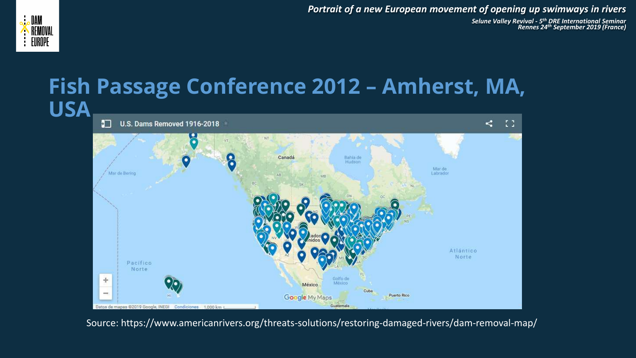*Selune Valley Revival - 5 th DRE International Seminar Rennes 24th September 2019 (France)* 





Source: https://www.americanrivers.org/threats-solutions/restoring-damaged-rivers/dam-removal-map/

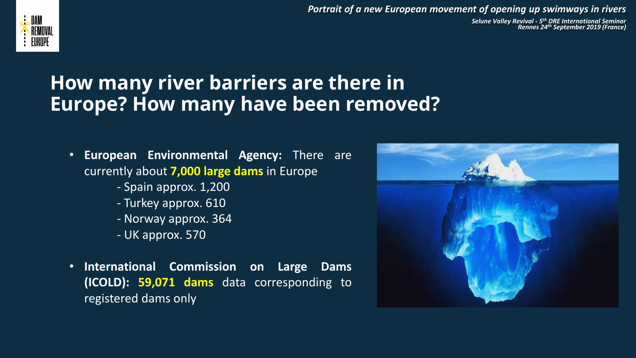

*Selune Valley Revival - 5 th DRE International Seminar Rennes 24th September 2019 (France)* 

#### **How many river barriers are there in Europe? How many have been removed?**

- **European Environmental Agency:** There are currently about **7,000 large dams** in Europe
	- Spain approx. 1,200
	- Turkey approx. 610
	- Norway approx. 364
	- UK approx. 570
- **International Commission on Large Dams (ICOLD): 59,071 dams** data corresponding to registered dams only

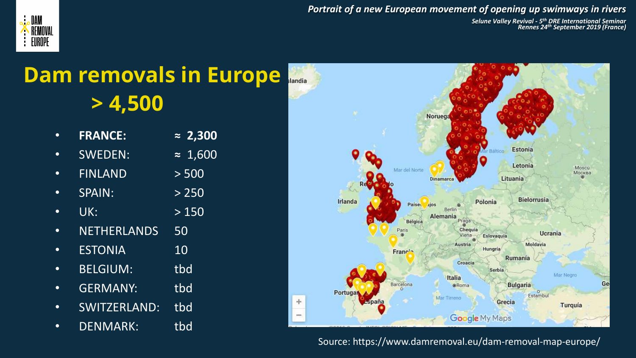

*Selune Valley Revival - 5 th DRE International Seminar Rennes 24th September 2019 (France)* 

## **Dam removals in Europe > 4,500**

|           | <b>FRANCE:</b>     | $\approx 2,300$ |
|-----------|--------------------|-----------------|
|           | <b>SWEDEN:</b>     | $\approx 1,600$ |
|           | <b>FINLAND</b>     | > 500           |
|           | <b>SPAIN:</b>      | > 250           |
|           | UK:                | >150            |
| $\bullet$ | <b>NETHERLANDS</b> | 50              |
|           | <b>ESTONIA</b>     | 10              |
|           | <b>BELGIUM:</b>    | tbd             |
|           | <b>GERMANY:</b>    | tbd             |
|           | SWITZERLAND:       | tbd             |
|           | <b>DENMARK:</b>    | tbd             |



**19** 5 Source: https://www.damremoval.eu/dam-removal-map-europe/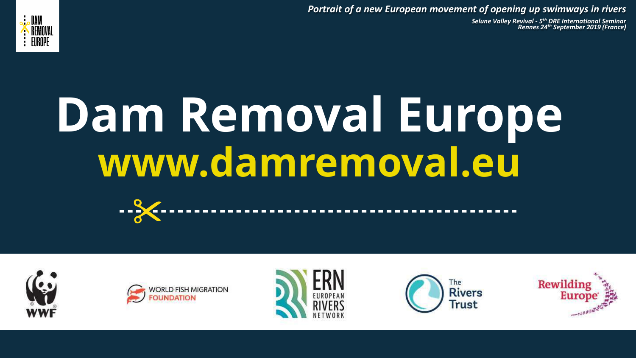*Selune Valley Revival - 5 th DRE International Seminar Rennes 24th September 2019 (France)* 



# **Dam Removal Europe www.damremoval.eu**











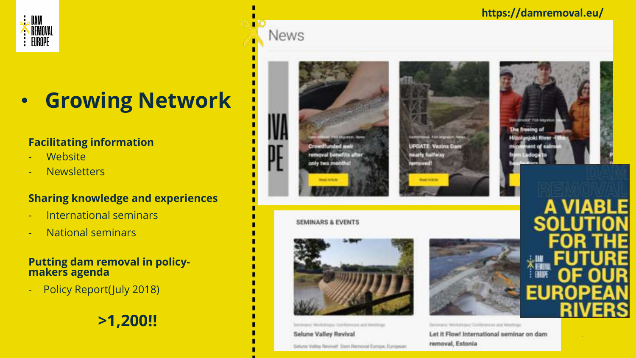#### **JAN** REMOVAL  $\vdots$  EUROPE

# • **Growing Network**

#### **Facilitating information**

- Website
- Newsletters

#### **Sharing knowledge and experiences**

- International seminars
- National seminars

#### **Putting dam removal in policymakers agenda**

- Policy Report(July 2018)

**>1,200!!**

# **News**



only two m



bersman/ Rodolbrand Kamfermont and Meetings

**Selune Valley Revival** 

Selune Valley Revivall, Dam Removat Europe, European



**UPDATE: Vezins Dam Hearty halfway** 

amoved!

Serenarius Westellingen, Conferences and Meetings

Let it Flow! International seminar on dam removal, Estonia



**https://damremoval.eu/**

7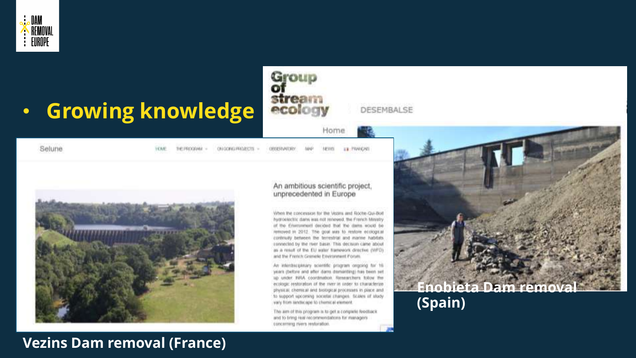

# • **Growing knowledge**

DESEMBALSE

Home

U.S. PRAICAST

Selune

**LEWA** 

THE PROGRAM CRICOMOTRADECTS -

NEWSL ORIGIAATE

Group<br>of<br>stream<br>ecology



#### An ambitious scientific project, unprecedented in Europe

When the concession for the Vezzys and Roche-Qui-Boil hydroclechic dams was not renewed. the French Ministry of the Elwmontent decided that the dams would be removed in 2012. The goal was to restore ecological controlly between the terrestrat and marine habitats. connected by the river basin. This decision came about as a result of the EU water framework directive (WFD). and the French Grenele Environment Forum.

An interdisciplinary ecientific program origoing for 16 years poetore and after dams demanting) has been set up under WHA coordination. Researchers follow the ecologic restoration of the mer in inder to characterize physical, chemical and broogleal processes in place and to support upcoming societal changes. Scales of alony vary from landscape to chemical element

The arm of this program is to get a comparie feedback. and to timig real recommendations for managers concerning rivers restoration.



#### **Vezins Dam removal (France)**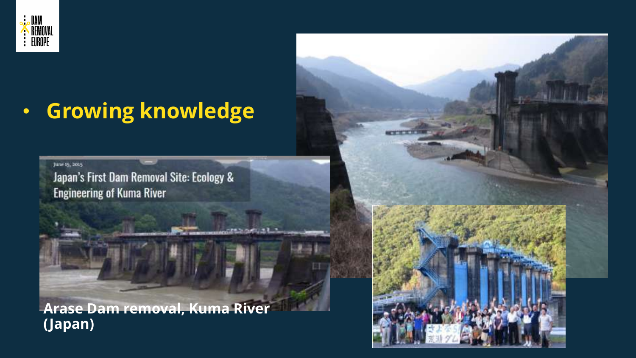

# • **Growing knowledge**

June 15, 2015

Japan's First Dam Removal Site: Ecology & **Engineering of Kuma River** 

**Arase Dam removal, Kuma River (Japan)**

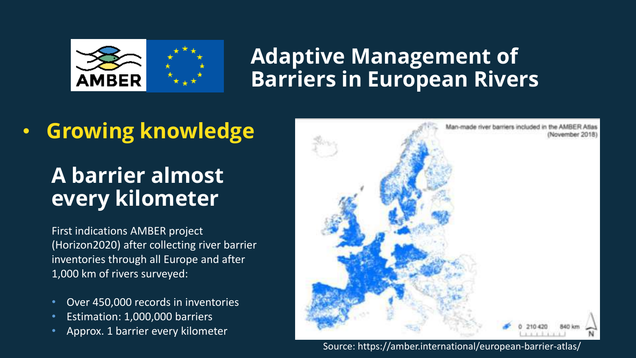

### **Adaptive Management of Barriers in European Rivers**

## • **Growing knowledge**

## **A barrier almost every kilometer**

First indications AMBER project (Horizon2020) after collecting river barrier inventories through all Europe and after 1,000 km of rivers surveyed:

- Over 450,000 records in inventories
- Estimation: 1,000,000 barriers
- **10/3/20** Approx. 1 barrier every kilometer



**19 10**<br>
Source: https://amber.international/european-barrier-atlas/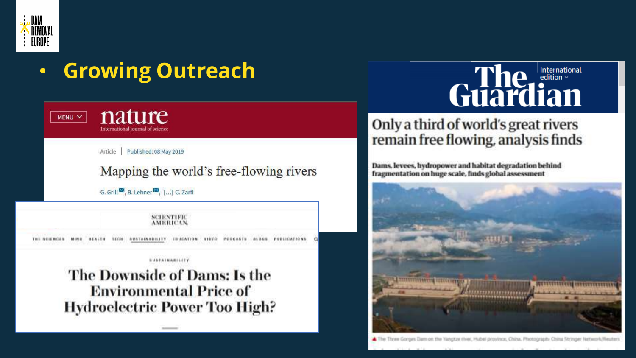

#### • **Growing Outreach** nature MENU V International journal of science Article Published: 08 May 2019 Mapping the world's free-flowing rivers G. Grill<sup>33</sup>, B. Lehner<sup>32</sup>, [...] C. Zarfl SCIENTIFIC **MERRYAN** THE SCIENCES. *SUSTAINABILITY* EDUCATION VIDEO PODCALTS *BUSTAINABILITY* The Downside of Dams: Is the **Environmental Price of Hydroelectric Power Too High?**

#### International edition  $\sim$ Guardian

#### Only a third of world's great rivers remain free flowing, analysis finds

Dams, levees, hydropower and habitat degradation behind fragmentation on huge scale, finds global assessment

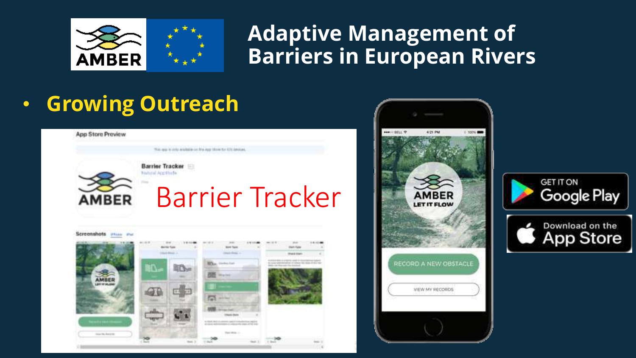

#### **Adaptive Management of Barriers in European Rivers**

## • **Growing Outreach**



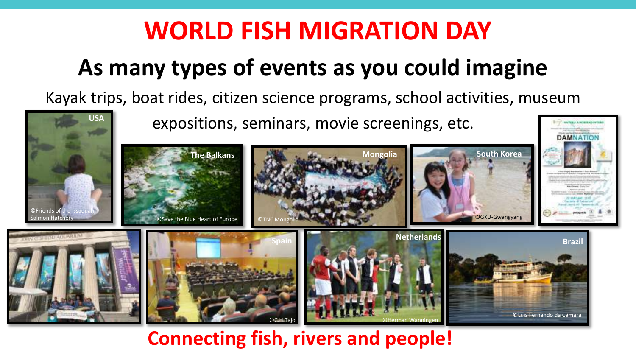# **WORLD FISH MIGRATION DAY**

# **As many types of events as you could imagine**

Kayak trips, boat rides, citizen science programs, school activities, museum



**Connecting fish, rivers and people!**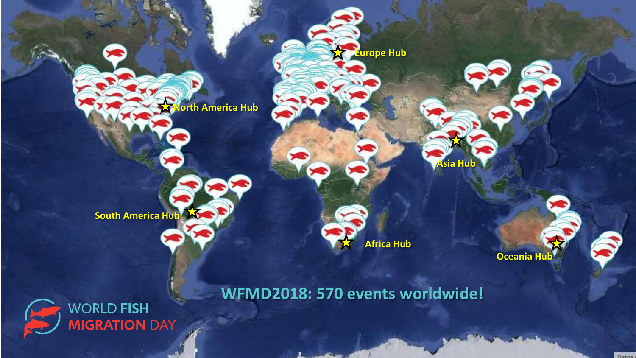

**South America Hub**



**Europe Hub**

**Asia Hub**

**Oceania Hub**



**WFMD2018: 570 events worldwide!**